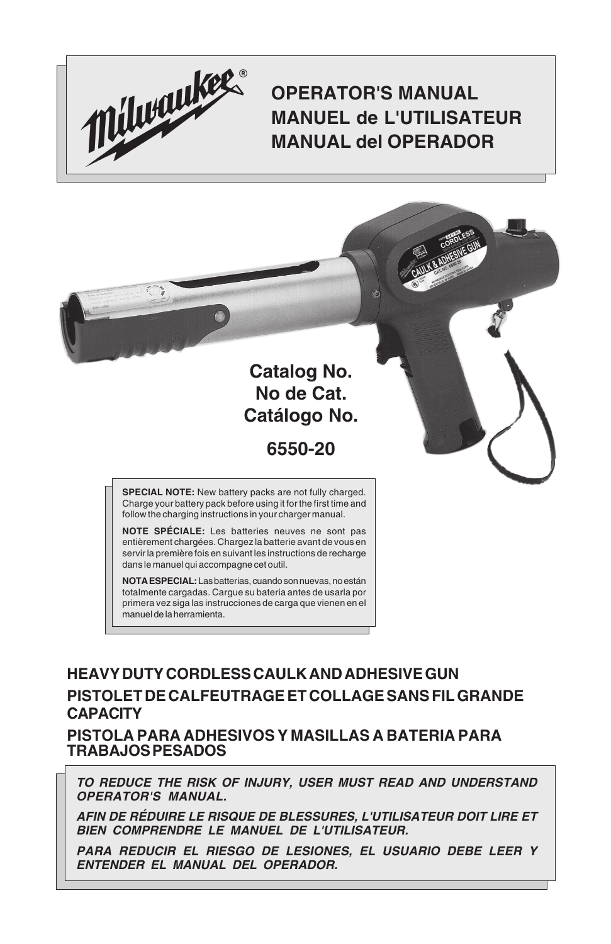

## **OPERATOR'S MANUAL MANUEL de L'UTILISATEUR MANUAL del OPERADOR**



**NOTE SPÉCIALE:** Les batteries neuves ne sont pas entièrement chargées. Chargez la batterie avant de vous en servir la première fois en suivant les instructions de recharge dans le manuel qui accompagne cet outil.

**NOTA ESPECIAL:** Las batterias, cuando son nuevas, no están totalmente cargadas. Cargue su bateria antes de usarla por primera vez siga las instrucciones de carga que vienen en el manuel de la herramienta.

### **HEAVY DUTY CORDLESS CAULK AND ADHESIVE GUN PISTOLET DE CALFEUTRAGE ET COLLAGE SANS FIL GRANDE CAPACITY**

**PISTOLA PARA ADHESIVOS Y MASILLAS A BATERIA PARA TRABAJOS PESADOS**

**TO REDUCE THE RISK OF INJURY, USER MUST READ AND UNDERSTAND OPERATOR'S MANUAL.**

**AFIN DE RÉDUIRE LE RISQUE DE BLESSURES, L'UTILISATEUR DOIT LIRE ET BIEN COMPRENDRE LE MANUEL DE L'UTILISATEUR.**

**PARA REDUCIR EL RIESGO DE LESIONES, EL USUARIO DEBE LEER Y ENTENDER EL MANUAL DEL OPERADOR.**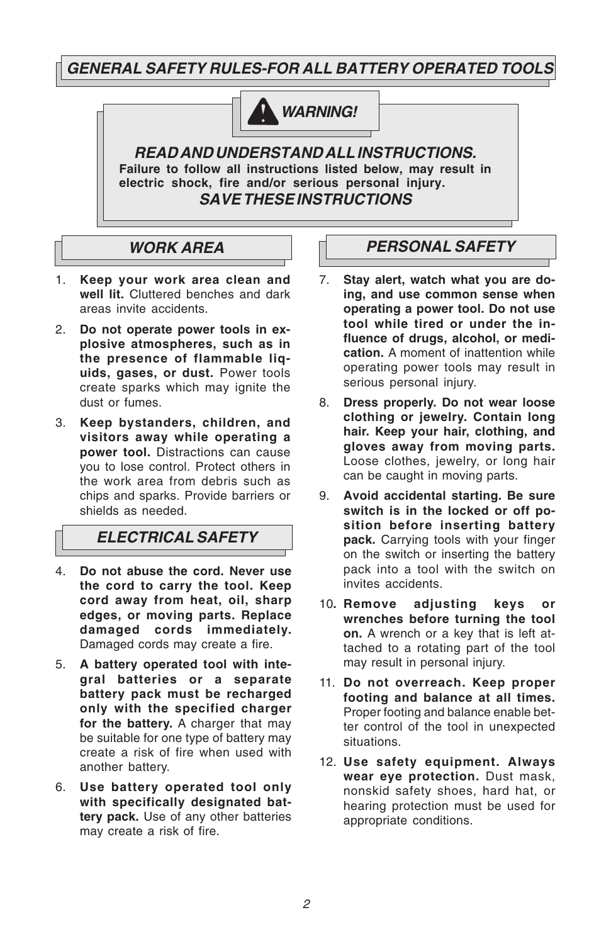**GENERAL SAFETY RULES-FOR ALL BATTERY OPERATED TOOLS**



**READ AND UNDERSTAND ALL INSTRUCTIONS. Failure to follow all instructions listed below, may result in electric shock, fire and/or serious personal injury. SAVE THESE INSTRUCTIONS**

### **WORK AREA**

- 1. **Keep your work area clean and well lit.** Cluttered benches and dark areas invite accidents.
- 2. **Do not operate power tools in explosive atmospheres, such as in the presence of flammable liquids, gases, or dust.** Power tools create sparks which may ignite the dust or fumes.
- 3. **Keep bystanders, children, and visitors away while operating a power tool.** Distractions can cause you to lose control. Protect others in the work area from debris such as chips and sparks. Provide barriers or shields as needed.

### **ELECTRICAL SAFETY**

- 4. **Do not abuse the cord. Never use the cord to carry the tool. Keep cord away from heat, oil, sharp edges, or moving parts. Replace damaged cords immediately.** Damaged cords may create a fire.
- 5. **A battery operated tool with integral batteries or a separate battery pack must be recharged only with the specified charger for the battery.** A charger that may be suitable for one type of battery may create a risk of fire when used with another battery.
- 6. **Use battery operated tool only with specifically designated battery pack.** Use of any other batteries may create a risk of fire.

### **PERSONAL SAFETY**

- 7. **Stay alert, watch what you are doing, and use common sense when operating a power tool. Do not use tool while tired or under the influence of drugs, alcohol, or medication.** A moment of inattention while operating power tools may result in serious personal injury.
- 8. **Dress properly. Do not wear loose clothing or jewelry. Contain long hair. Keep your hair, clothing, and gloves away from moving parts.** Loose clothes, jewelry, or long hair can be caught in moving parts.
- 9. **Avoid accidental starting. Be sure switch is in the locked or off position before inserting battery pack.** Carrying tools with your finger on the switch or inserting the battery pack into a tool with the switch on invites accidents.
- 10**. Remove adjusting keys or wrenches before turning the tool on.** A wrench or a key that is left attached to a rotating part of the tool may result in personal injury.
- 11. **Do not overreach. Keep proper footing and balance at all times.** Proper footing and balance enable better control of the tool in unexpected situations.
- 12. **Use safety equipment. Always wear eye protection.** Dust mask, nonskid safety shoes, hard hat, or hearing protection must be used for appropriate conditions.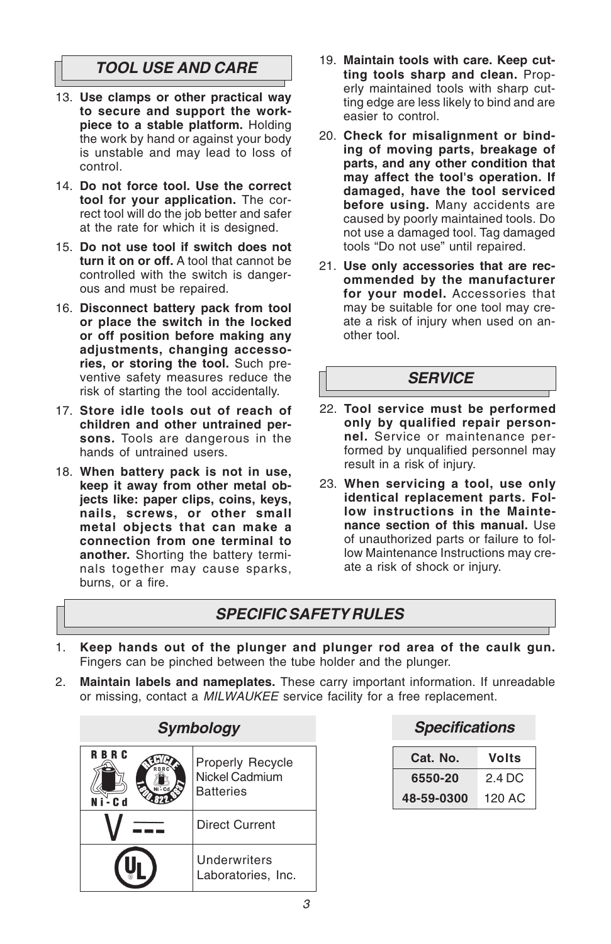### **TOOL USE AND CARE**

- 13. **Use clamps or other practical way to secure and support the workpiece to a stable platform.** Holding the work by hand or against your body is unstable and may lead to loss of control.
- 14. **Do not force tool. Use the correct tool for your application.** The correct tool will do the job better and safer at the rate for which it is designed.
- 15. **Do not use tool if switch does not turn it on or off.** A tool that cannot be controlled with the switch is dangerous and must be repaired.
- 16. **Disconnect battery pack from tool or place the switch in the locked or off position before making any adjustments, changing accessories, or storing the tool.** Such preventive safety measures reduce the risk of starting the tool accidentally.
- 17. **Store idle tools out of reach of children and other untrained persons.** Tools are dangerous in the hands of untrained users.
- 18. **When battery pack is not in use, keep it away from other metal objects like: paper clips, coins, keys, nails, screws, or other small metal objects that can make a connection from one terminal to another.** Shorting the battery terminals together may cause sparks, burns, or a fire.
- 19. **Maintain tools with care. Keep cutting tools sharp and clean.** Properly maintained tools with sharp cutting edge are less likely to bind and are easier to control.
- 20. **Check for misalignment or binding of moving parts, breakage of parts, and any other condition that may affect the tool's operation. If damaged, have the tool serviced before using.** Many accidents are caused by poorly maintained tools. Do not use a damaged tool. Tag damaged tools "Do not use" until repaired.
- 21. **Use only accessories that are recommended by the manufacturer for your model.** Accessories that may be suitable for one tool may create a risk of injury when used on another tool.

#### **SERVICE**

- 22. **Tool service must be performed only by qualified repair personnel.** Service or maintenance performed by unqualified personnel may result in a risk of injury.
- 23. **When servicing a tool, use only identical replacement parts. Follow instructions in the Maintenance section of this manual.** Use of unauthorized parts or failure to follow Maintenance Instructions may create a risk of shock or injury.

### **SPECIFIC SAFETY RULES**

- 1. **Keep hands out of the plunger and plunger rod area of the caulk gun.** Fingers can be pinched between the tube holder and the plunger.
- 2. **Maintain labels and nameplates.** These carry important information. If unreadable or missing, contact a MILWAUKEE service facility for a free replacement.

| Symbology                  |                                                        |  |
|----------------------------|--------------------------------------------------------|--|
| <b>RBRC</b><br>RRR<br>r. 4 | Properly Recycle<br>Nickel Cadmium<br><b>Batteries</b> |  |
|                            | <b>Direct Current</b>                                  |  |
|                            | Underwriters<br>Laboratories, Inc.                     |  |

| Cat. No.   | Volts  |
|------------|--------|
| 6550-20    | 2.4 DC |
| 48-59-0300 | 120 AC |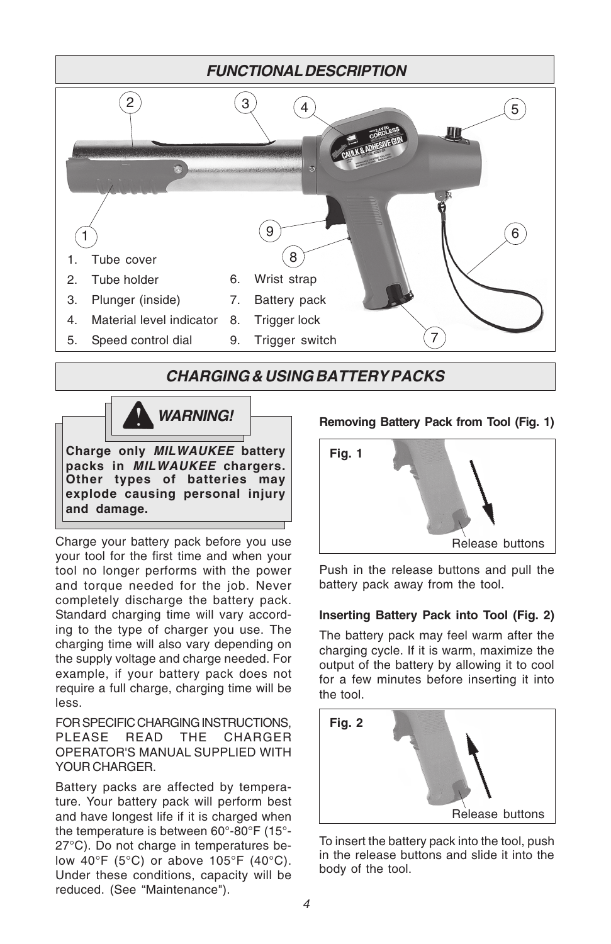

### **CHARGING & USING BATTERY PACKS**



Charge your battery pack before you use your tool for the first time and when your tool no longer performs with the power and torque needed for the job. Never completely discharge the battery pack. Standard charging time will vary according to the type of charger you use. The charging time will also vary depending on the supply voltage and charge needed. For example, if your battery pack does not require a full charge, charging time will be less.

FOR SPECIFIC CHARGING INSTRUCTIONS, PLEASE READ THE CHARGER OPERATOR'S MANUAL SUPPLIED WITH YOUR CHARGER.

Battery packs are affected by temperature. Your battery pack will perform best and have longest life if it is charged when the temperature is between 60°-80°F (15°- 27°C). Do not charge in temperatures below 40°F (5°C) or above 105°F (40°C). Under these conditions, capacity will be reduced. (See "Maintenance").

#### **Removing Battery Pack from Tool (Fig. 1)**



Push in the release buttons and pull the battery pack away from the tool.

#### **Inserting Battery Pack into Tool (Fig. 2)**

The battery pack may feel warm after the charging cycle. If it is warm, maximize the output of the battery by allowing it to cool for a few minutes before inserting it into the tool.



To insert the battery pack into the tool, push in the release buttons and slide it into the body of the tool.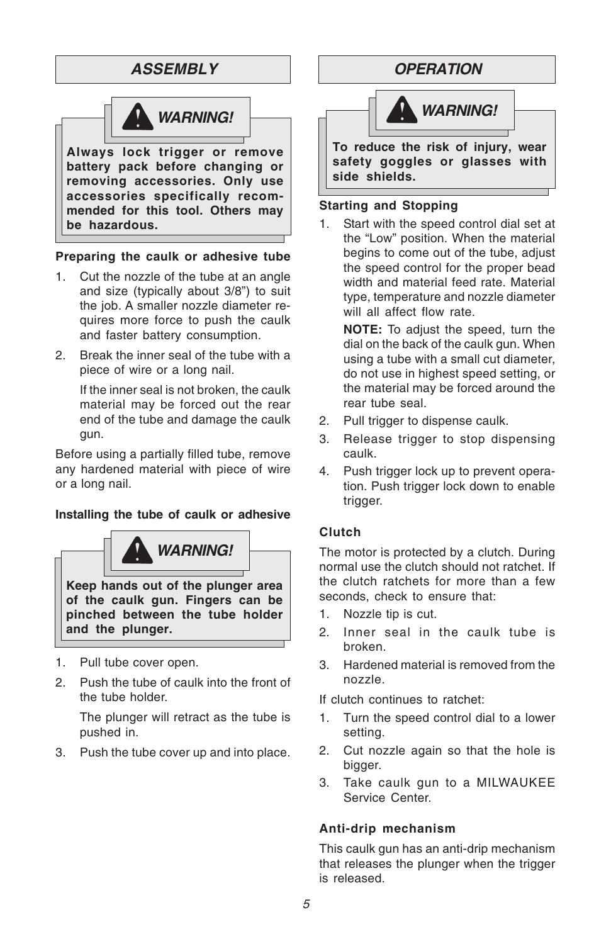### **ASSEMBLY**



#### **Preparing the caulk or adhesive tube**

- 1. Cut the nozzle of the tube at an angle and size (typically about 3/8") to suit the job. A smaller nozzle diameter requires more force to push the caulk and faster battery consumption.
- 2. Break the inner seal of the tube with a piece of wire or a long nail.

If the inner seal is not broken, the caulk material may be forced out the rear end of the tube and damage the caulk gun.

Before using a partially filled tube, remove any hardened material with piece of wire or a long nail.

#### **Installing the tube of caulk or adhesive**



- 1. Pull tube cover open.
- 2. Push the tube of caulk into the front of the tube holder.

The plunger will retract as the tube is pushed in.

3. Push the tube cover up and into place.

### **OPERATION**



#### **Starting and Stopping**

1. Start with the speed control dial set at the "Low" position. When the material begins to come out of the tube, adjust the speed control for the proper bead width and material feed rate. Material type, temperature and nozzle diameter will all affect flow rate.

**NOTE:** To adjust the speed, turn the dial on the back of the caulk gun. When using a tube with a small cut diameter, do not use in highest speed setting, or the material may be forced around the rear tube seal.

- 2. Pull trigger to dispense caulk.
- 3. Release trigger to stop dispensing caulk.
- 4. Push trigger lock up to prevent operation. Push trigger lock down to enable trigger.

#### **Clutch**

The motor is protected by a clutch. During normal use the clutch should not ratchet. If the clutch ratchets for more than a few seconds, check to ensure that:

- 1. Nozzle tip is cut.
- 2. Inner seal in the caulk tube is broken.
- 3. Hardened material is removed from the nozzle.

If clutch continues to ratchet:

- 1. Turn the speed control dial to a lower setting.
- 2. Cut nozzle again so that the hole is bigger.
- 3. Take caulk gun to a MILWAUKEE Service Center.

#### **Anti-drip mechanism**

This caulk gun has an anti-drip mechanism that releases the plunger when the trigger is released.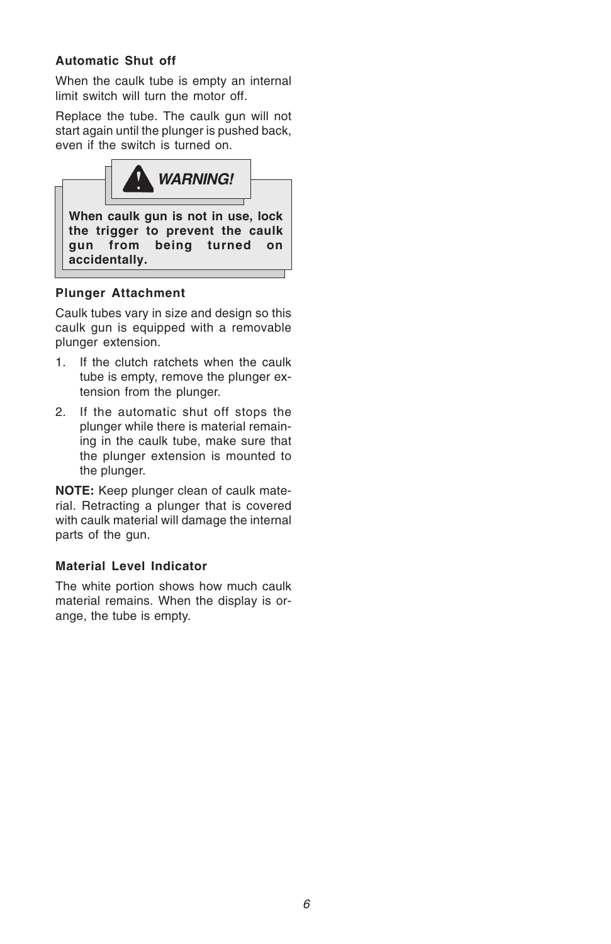#### **Automatic Shut off**

When the caulk tube is empty an internal limit switch will turn the motor off.

Replace the tube. The caulk gun will not start again until the plunger is pushed back, even if the switch is turned on.



#### **Plunger Attachment**

Caulk tubes vary in size and design so this caulk gun is equipped with a removable plunger extension.

- 1. If the clutch ratchets when the caulk tube is empty, remove the plunger extension from the plunger.
- 2. If the automatic shut off stops the plunger while there is material remaining in the caulk tube, make sure that the plunger extension is mounted to the plunger.

**NOTE:** Keep plunger clean of caulk material. Retracting a plunger that is covered with caulk material will damage the internal parts of the gun.

#### **Material Level Indicator**

The white portion shows how much caulk material remains. When the display is orange, the tube is empty.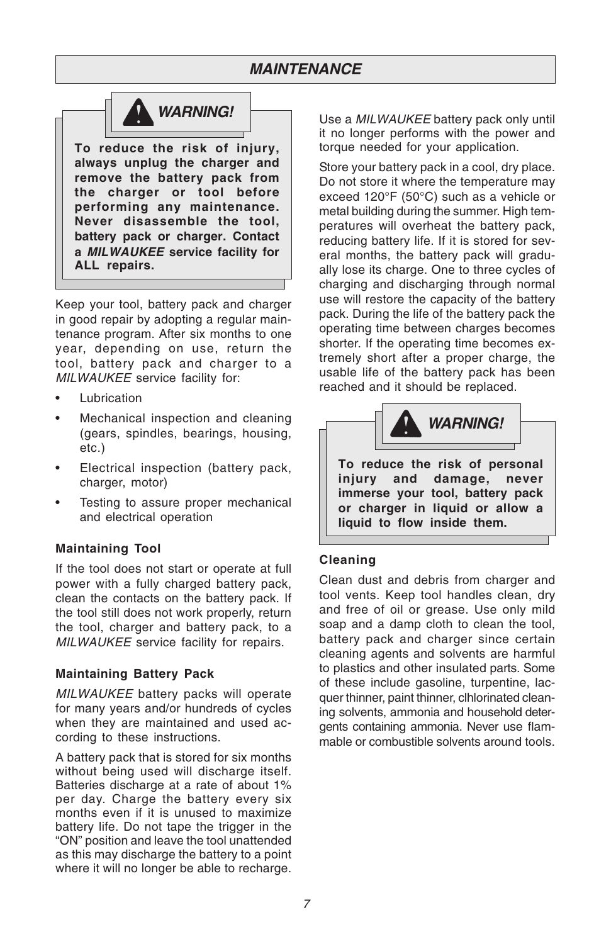### **MAINTENANCE**



**To reduce the risk of injury, always unplug the charger and remove the battery pack from the charger or tool before performing any maintenance. Never disassemble the tool, battery pack or charger. Contact a MILWAUKEE service facility for ALL repairs.**

Keep your tool, battery pack and charger in good repair by adopting a regular maintenance program. After six months to one year, depending on use, return the tool, battery pack and charger to a MILWAUKEE service facility for:

- **Lubrication**
- Mechanical inspection and cleaning (gears, spindles, bearings, housing, etc.)
- Electrical inspection (battery pack, charger, motor)
- Testing to assure proper mechanical and electrical operation

#### **Maintaining Tool**

If the tool does not start or operate at full power with a fully charged battery pack, clean the contacts on the battery pack. If the tool still does not work properly, return the tool, charger and battery pack, to a MILWAUKEE service facility for repairs.

#### **Maintaining Battery Pack**

MILWAUKEE battery packs will operate for many years and/or hundreds of cycles when they are maintained and used according to these instructions.

A battery pack that is stored for six months without being used will discharge itself. Batteries discharge at a rate of about 1% per day. Charge the battery every six months even if it is unused to maximize battery life. Do not tape the trigger in the "ON" position and leave the tool unattended as this may discharge the battery to a point where it will no longer be able to recharge.

Use a MILWAUKEE battery pack only until it no longer performs with the power and torque needed for your application.

Store your battery pack in a cool, dry place. Do not store it where the temperature may exceed 120°F (50°C) such as a vehicle or metal building during the summer. High temperatures will overheat the battery pack, reducing battery life. If it is stored for several months, the battery pack will gradually lose its charge. One to three cycles of charging and discharging through normal use will restore the capacity of the battery pack. During the life of the battery pack the operating time between charges becomes shorter. If the operating time becomes extremely short after a proper charge, the usable life of the battery pack has been reached and it should be replaced.



#### **Cleaning**

Clean dust and debris from charger and tool vents. Keep tool handles clean, dry and free of oil or grease. Use only mild soap and a damp cloth to clean the tool, battery pack and charger since certain cleaning agents and solvents are harmful to plastics and other insulated parts. Some of these include gasoline, turpentine, lacquer thinner, paint thinner, clhlorinated cleaning solvents, ammonia and household detergents containing ammonia. Never use flammable or combustible solvents around tools.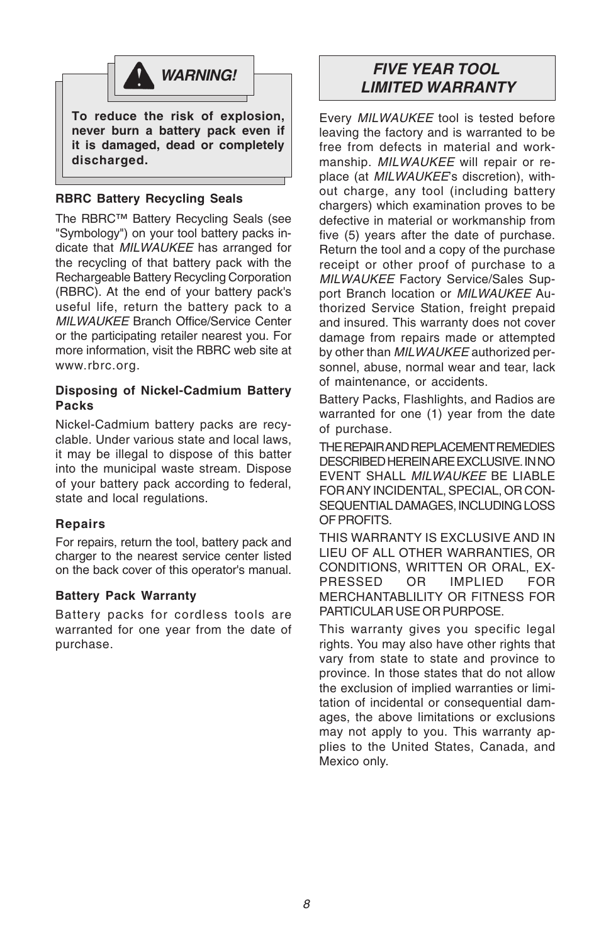

**To reduce the risk of explosion, never burn a battery pack even if it is damaged, dead or completely discharged.**

#### **RBRC Battery Recycling Seals**

The RBRC™ Battery Recycling Seals (see "Symbology") on your tool battery packs indicate that **MILWAUKEE** has arranged for the recycling of that battery pack with the Rechargeable Battery Recycling Corporation (RBRC). At the end of your battery pack's useful life, return the battery pack to a MILWAUKEE Branch Office/Service Center or the participating retailer nearest you. For more information, visit the RBRC web site at www.rbrc.org.

#### **Disposing of Nickel-Cadmium Battery Packs**

Nickel-Cadmium battery packs are recyclable. Under various state and local laws, it may be illegal to dispose of this batter into the municipal waste stream. Dispose of your battery pack according to federal, state and local regulations.

#### **Repairs**

For repairs, return the tool, battery pack and charger to the nearest service center listed on the back cover of this operator's manual.

#### **Battery Pack Warranty**

Battery packs for cordless tools are warranted for one year from the date of purchase.

### **FIVE YEAR TOOL LIMITED WARRANTY**

Every MILWAUKEE tool is tested before leaving the factory and is warranted to be free from defects in material and workmanship. MILWAUKEE will repair or replace (at MILWAUKEE's discretion), without charge, any tool (including battery chargers) which examination proves to be defective in material or workmanship from five (5) years after the date of purchase. Return the tool and a copy of the purchase receipt or other proof of purchase to a MILWAUKEE Factory Service/Sales Support Branch location or MILWAUKEE Authorized Service Station, freight prepaid and insured. This warranty does not cover damage from repairs made or attempted by other than MILWAUKEE authorized personnel, abuse, normal wear and tear, lack of maintenance, or accidents.

Battery Packs, Flashlights, and Radios are warranted for one (1) year from the date of purchase.

THE REPAIR AND REPLACEMENT REMEDIES DESCRIBED HEREIN ARE EXCLUSIVE. IN NO EVENT SHALL MILWAUKEE BE LIABLE FOR ANY INCIDENTAL, SPECIAL, OR CON-SEQUENTIAL DAMAGES, INCLUDING LOSS OF PROFITS.

THIS WARRANTY IS EXCLUSIVE AND IN LIEU OF ALL OTHER WARRANTIES, OR CONDITIONS, WRITTEN OR ORAL, EX-PRESSED OR IMPLIED FOR MERCHANTABLILITY OR FITNESS FOR PARTICULAR USE OR PURPOSE.

This warranty gives you specific legal rights. You may also have other rights that vary from state to state and province to province. In those states that do not allow the exclusion of implied warranties or limitation of incidental or consequential damages, the above limitations or exclusions may not apply to you. This warranty applies to the United States, Canada, and Mexico only.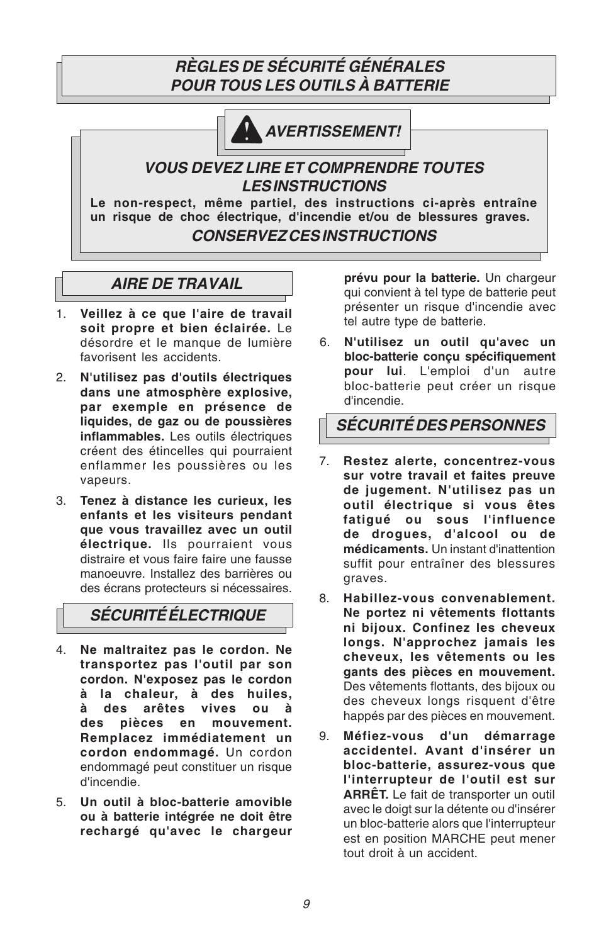### **RÈGLES DE SÉCURITÉ GÉNÉRALES POUR TOUS LES OUTILS À BATTERIE**



**AVERTISSEMENT!**

### **VOUS DEVEZ LIRE ET COMPRENDRE TOUTES LES INSTRUCTIONS**

**Le non-respect, même partiel, des instructions ci-après entraîne un risque de choc électrique, d'incendie et/ou de blessures graves. CONSERVEZ CES INSTRUCTIONS**

### **AIRE DE TRAVAIL**

- 1. **Veillez à ce que l'aire de travail soit propre et bien éclairée.** Le désordre et le manque de lumière favorisent les accidents.
- 2. **N'utilisez pas d'outils électriques dans une atmosphère explosive, par exemple en présence de liquides, de gaz ou de poussières inflammables.** Les outils électriques créent des étincelles qui pourraient enflammer les poussières ou les vapeurs.
- 3. **Tenez à distance les curieux, les enfants et les visiteurs pendant que vous travaillez avec un outil électrique.** Ils pourraient vous distraire et vous faire faire une fausse manoeuvre. Installez des barrières ou des écrans protecteurs si nécessaires.

## **SÉCURITÉ ÉLECTRIQUE**

- 4. **Ne maltraitez pas le cordon. Ne transportez pas l'outil par son cordon. N'exposez pas le cordon à la chaleur, à des huiles, à des arêtes vives ou à des pièces en mouvement. Remplacez immédiatement un cordon endommagé.** Un cordon endommagé peut constituer un risque d'incendie.
- 5. **Un outil à bloc-batterie amovible ou à batterie intégrée ne doit être rechargé qu'avec le chargeur**

**prévu pour la batterie.** Un chargeur qui convient à tel type de batterie peut présenter un risque d'incendie avec tel autre type de batterie.

6. **N'utilisez un outil qu'avec un bloc-batterie conçu spécifiquement pour lui**. L'emploi d'un autre bloc-batterie peut créer un risque d'incendie.

**SÉCURITÉ DES PERSONNES**

- 7. **Restez alerte, concentrez-vous sur votre travail et faites preuve de jugement. N'utilisez pas un outil électrique si vous êtes fatigué ou sous l'influence de drogues, d'alcool ou de médicaments.** Un instant d'inattention suffit pour entraîner des blessures graves.
- 8. **Habillez-vous convenablement. Ne portez ni vêtements flottants ni bijoux. Confinez les cheveux longs. N'approchez jamais les cheveux, les vêtements ou les gants des pièces en mouvement.** Des vêtements flottants, des bijoux ou des cheveux longs risquent d'être happés par des pièces en mouvement.
- 9. **Méfiez-vous d'un démarrage accidentel. Avant d'insérer un bloc-batterie, assurez-vous que l'interrupteur de l'outil est sur ARRÊT.** Le fait de transporter un outil avec le doigt sur la détente ou d'insérer un bloc-batterie alors que l'interrupteur est en position MARCHE peut mener tout droit à un accident.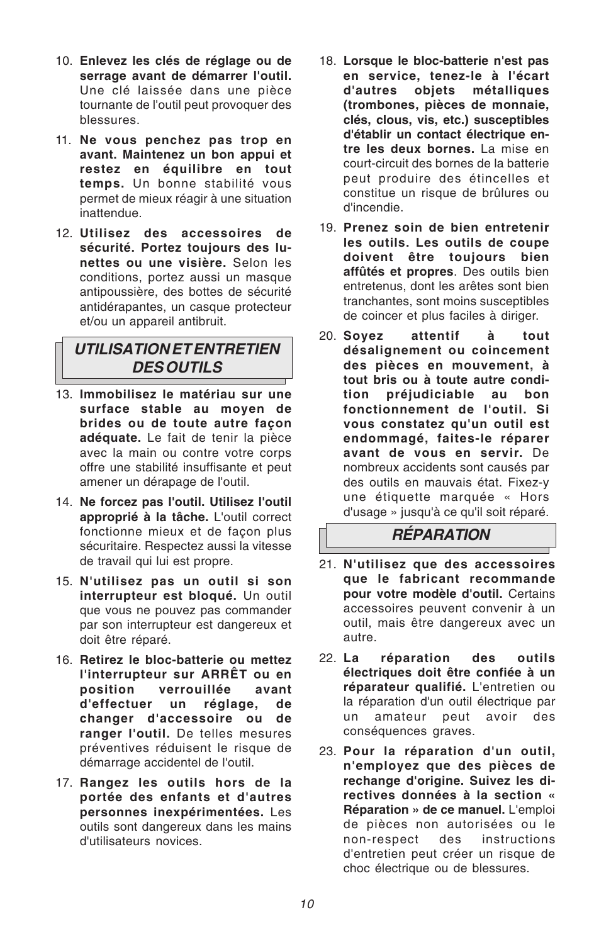- 10. **Enlevez les clés de réglage ou de serrage avant de démarrer l'outil.** Une clé laissée dans une pièce tournante de l'outil peut provoquer des blessures.
- 11. **Ne vous penchez pas trop en avant. Maintenez un bon appui et restez en équilibre en tout temps.** Un bonne stabilité vous permet de mieux réagir à une situation inattendue.
- 12. **Utilisez des accessoires de sécurité. Portez toujours des lunettes ou une visière.** Selon les conditions, portez aussi un masque antipoussière, des bottes de sécurité antidérapantes, un casque protecteur et/ou un appareil antibruit.

### **UTILISATION ET ENTRETIEN DES OUTILS**

- 13. **Immobilisez le matériau sur une surface stable au moyen de brides ou de toute autre façon adéquate.** Le fait de tenir la pièce avec la main ou contre votre corps offre une stabilité insuffisante et peut amener un dérapage de l'outil.
- 14. **Ne forcez pas l'outil. Utilisez l'outil approprié à la tâche.** L'outil correct fonctionne mieux et de façon plus sécuritaire. Respectez aussi la vitesse de travail qui lui est propre.
- 15. **N'utilisez pas un outil si son interrupteur est bloqué.** Un outil que vous ne pouvez pas commander par son interrupteur est dangereux et doit être réparé.
- 16. **Retirez le bloc-batterie ou mettez l'interrupteur sur ARRÊT ou en position verrouillée avant d'effectuer un réglage, de changer d'accessoire ou de ranger l'outil.** De telles mesures préventives réduisent le risque de démarrage accidentel de l'outil.
- 17. **Rangez les outils hors de la portée des enfants et d'autres personnes inexpérimentées.** Les outils sont dangereux dans les mains d'utilisateurs novices.
- 18. **Lorsque le bloc-batterie n'est pas en service, tenez-le à l'écart d'autres objets métalliques (trombones, pièces de monnaie, clés, clous, vis, etc.) susceptibles d'établir un contact électrique entre les deux bornes.** La mise en court-circuit des bornes de la batterie peut produire des étincelles et constitue un risque de brûlures ou d'incendie.
- 19. **Prenez soin de bien entretenir les outils. Les outils de coupe doivent être toujours bien affûtés et propres**. Des outils bien entretenus, dont les arêtes sont bien tranchantes, sont moins susceptibles de coincer et plus faciles à diriger.
- 20. **Soyez attentif à tout désalignement ou coincement des pièces en mouvement, à tout bris ou à toute autre condition préjudiciable au bon fonctionnement de l'outil. Si vous constatez qu'un outil est endommagé, faites-le réparer avant de vous en servir.** De nombreux accidents sont causés par des outils en mauvais état. Fixez-y une étiquette marquée « Hors d'usage » jusqu'à ce qu'il soit réparé.

### **RÉPARATION**

- 21. **N'utilisez que des accessoires que le fabricant recommande pour votre modèle d'outil.** Certains accessoires peuvent convenir à un outil, mais être dangereux avec un autre.
- 22. **La réparation des outils électriques doit être confiée à un réparateur qualifié.** L'entretien ou la réparation d'un outil électrique par un amateur peut avoir des conséquences graves.
- 23. **Pour la réparation d'un outil, n'employez que des pièces de rechange d'origine. Suivez les directives données à la section « Réparation » de ce manuel.** L'emploi de pièces non autorisées ou le non-respect des instructions d'entretien peut créer un risque de choc électrique ou de blessures.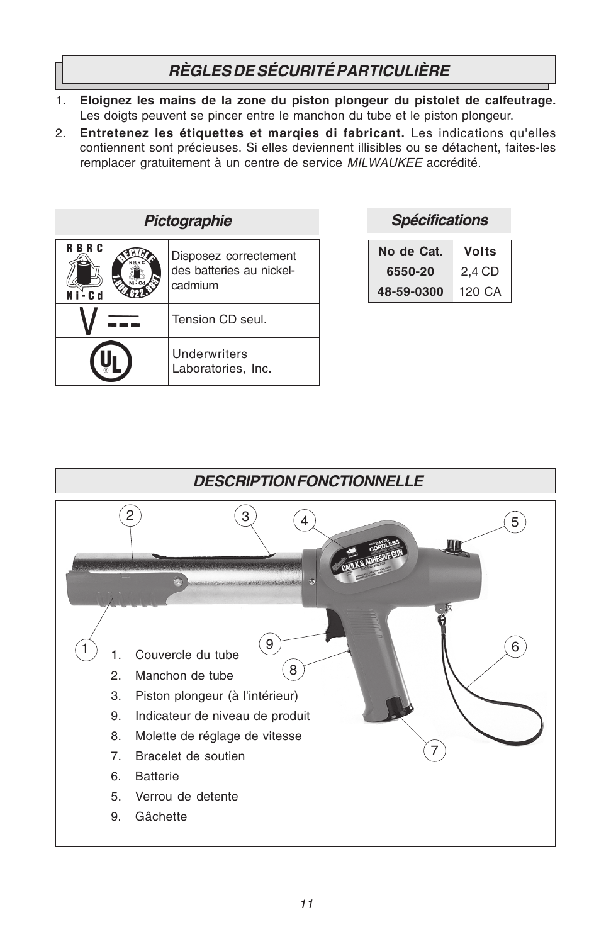## **RÈGLES DE SÉCURITÉ PARTICULIÈRE**

- 1. **Eloignez les mains de la zone du piston plongeur du pistolet de calfeutrage.** Les doigts peuvent se pincer entre le manchon du tube et le piston plongeur.
- 2. **Entretenez les étiquettes et marqies di fabricant.** Les indications qu'elles contiennent sont précieuses. Si elles deviennent illisibles ou se détachent, faites-les remplacer gratuitement à un centre de service MILWAUKEE accrédité.

| Pictographie        |                                                              |  |
|---------------------|--------------------------------------------------------------|--|
| <b>RBRC</b><br>'C d | Disposez correctement<br>des batteries au nickel-<br>cadmium |  |
|                     | Tension CD seul.                                             |  |
|                     | <b>Underwriters</b><br>Laboratories, Inc.                    |  |

### **Spécifications**

| No de Cat. | Volts  |
|------------|--------|
| 6550-20    | 2.4 CD |
| 48-59-0300 | 120 CA |

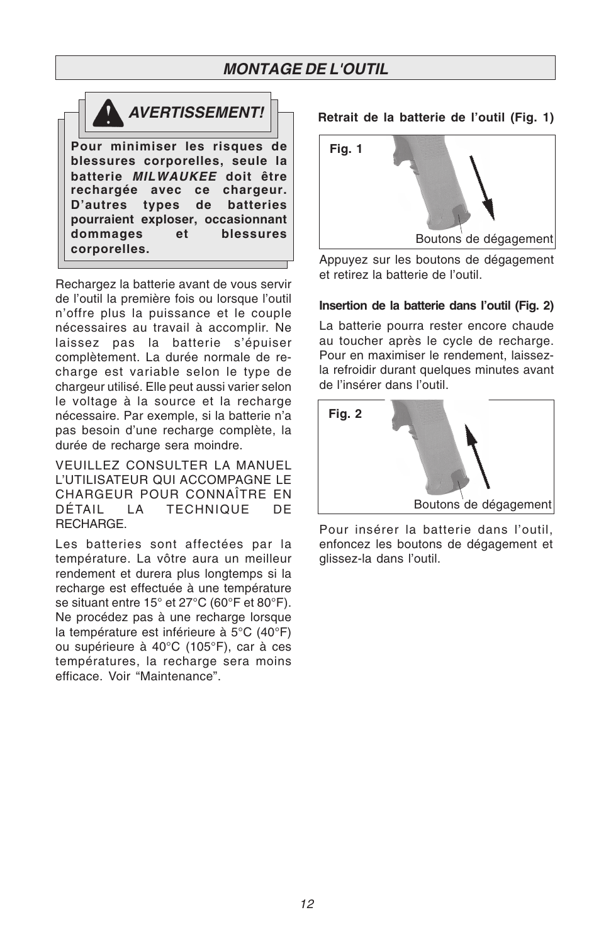### **MONTAGE DE L'OUTIL**



Rechargez la batterie avant de vous servir de l'outil la première fois ou lorsque l'outil n'offre plus la puissance et le couple nécessaires au travail à accomplir. Ne laissez pas la batterie s'épuiser complètement. La durée normale de recharge est variable selon le type de chargeur utilisé. Elle peut aussi varier selon le voltage à la source et la recharge nécessaire. Par exemple, si la batterie n'a pas besoin d'une recharge complète, la durée de recharge sera moindre.

VEUILLEZ CONSULTER LA MANUEL L'UTILISATEUR QUI ACCOMPAGNE LE CHARGEUR POUR CONNAÎTRE EN DÉTAIL LA TECHNIQUE DE RECHARGE.

Les batteries sont affectées par la température. La vôtre aura un meilleur rendement et durera plus longtemps si la recharge est effectuée à une température se situant entre 15° et 27°C (60°F et 80°F). Ne procédez pas à une recharge lorsque la température est inférieure à 5°C (40°F) ou supérieure à 40°C (105°F), car à ces températures, la recharge sera moins efficace. Voir "Maintenance".

#### **Retrait de la batterie de l'outil (Fig. 1)**



Appuyez sur les boutons de dégagement et retirez la batterie de l'outil.

#### **Insertion de la batterie dans l'outil (Fig. 2)**

La batterie pourra rester encore chaude au toucher après le cycle de recharge. Pour en maximiser le rendement, laissezla refroidir durant quelques minutes avant de l'insérer dans l'outil.



Pour insérer la batterie dans l'outil, enfoncez les boutons de dégagement et glissez-la dans l'outil.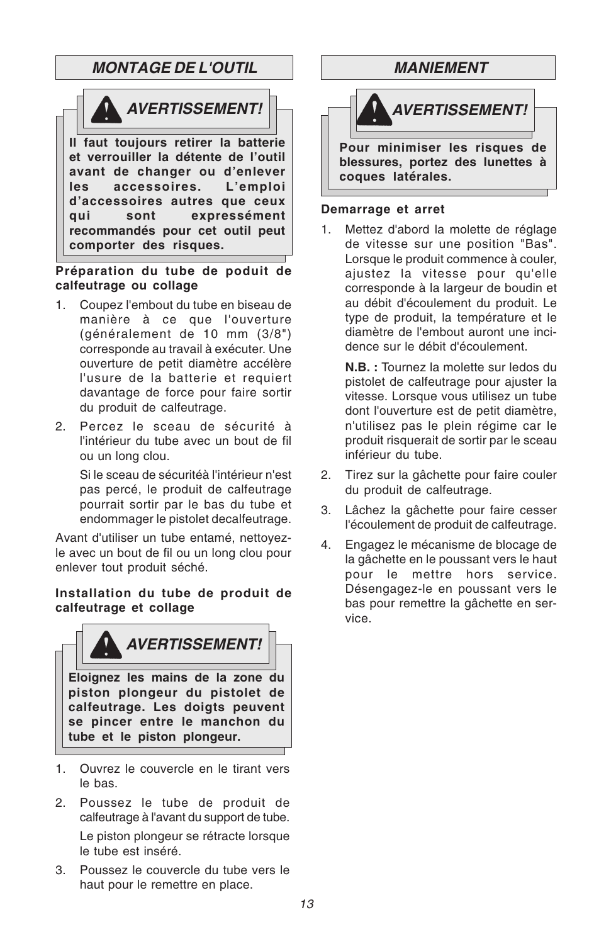### **MONTAGE DE L'OUTIL**



**Préparation du tube de poduit de calfeutrage ou collage**

- 1. Coupez l'embout du tube en biseau de manière à ce que l'ouverture (généralement de 10 mm (3/8") corresponde au travail à exécuter. Une ouverture de petit diamètre accélère l'usure de la batterie et requiert davantage de force pour faire sortir du produit de calfeutrage.
- 2. Percez le sceau de sécurité à l'intérieur du tube avec un bout de fil ou un long clou.

Si le sceau de sécuritéà l'intérieur n'est pas percé, le produit de calfeutrage pourrait sortir par le bas du tube et endommager le pistolet decalfeutrage.

Avant d'utiliser un tube entamé, nettoyezle avec un bout de fil ou un long clou pour enlever tout produit séché.

#### **Installation du tube de produit de calfeutrage et collage**



- 1. Ouvrez le couvercle en le tirant vers le bas.
- 2. Poussez le tube de produit de calfeutrage à l'avant du support de tube. Le piston plongeur se rétracte lorsque le tube est inséré.
- 3. Poussez le couvercle du tube vers le haut pour le remettre en place.



#### **Demarrage et arret**

Mettez d'abord la molette de réglage de vitesse sur une position "Bas". Lorsque le produit commence à couler, ajustez la vitesse pour qu'elle corresponde à la largeur de boudin et au débit d'écoulement du produit. Le type de produit, la température et le diamètre de l'embout auront une incidence sur le débit d'écoulement.

**N.B. :** Tournez la molette sur ledos du pistolet de calfeutrage pour ajuster la vitesse. Lorsque vous utilisez un tube dont l'ouverture est de petit diamètre, n'utilisez pas le plein régime car le produit risquerait de sortir par le sceau inférieur du tube.

- 2. Tirez sur la gâchette pour faire couler du produit de calfeutrage.
- 3. Lâchez la gâchette pour faire cesser l'écoulement de produit de calfeutrage.
- 4. Engagez le mécanisme de blocage de la gâchette en le poussant vers le haut pour le mettre hors service. Désengagez-le en poussant vers le bas pour remettre la gâchette en service.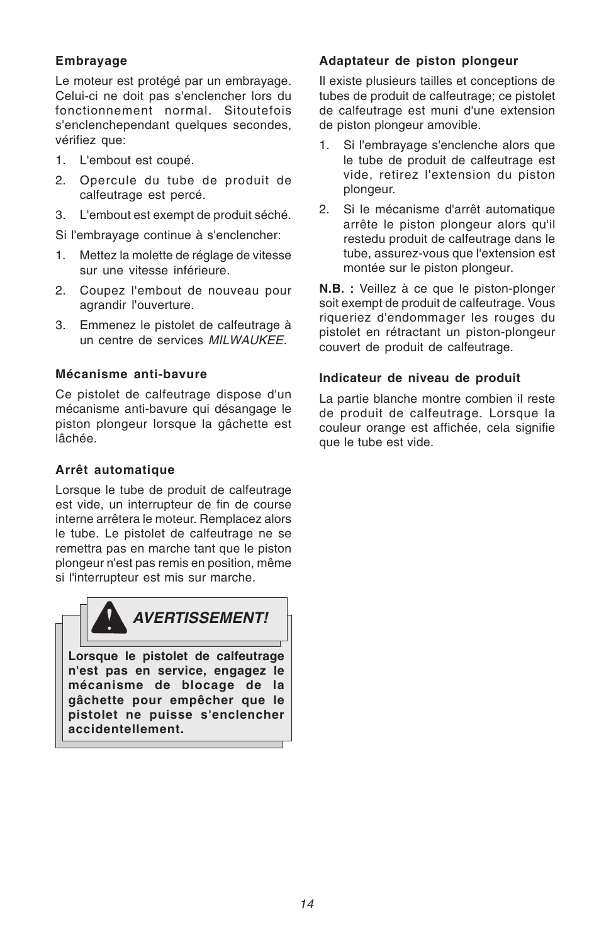#### **Embrayage**

Le moteur est protégé par un embrayage. Celui-ci ne doit pas s'enclencher lors du fonctionnement normal. Sitoutefois s'enclenchependant quelques secondes, vérifiez que:

- 1. L'embout est coupé.
- 2. Opercule du tube de produit de calfeutrage est percé.
- 3. L'embout est exempt de produit séché.

Si l'embrayage continue à s'enclencher:

- 1. Mettez la molette de réglage de vitesse sur une vitesse inférieure.
- 2. Coupez l'embout de nouveau pour agrandir l'ouverture.
- 3. Emmenez le pistolet de calfeutrage à un centre de services MILWAUKEE.

#### **Mécanisme anti-bavure**

Ce pistolet de calfeutrage dispose d'un mécanisme anti-bavure qui désangage le piston plongeur lorsque la gâchette est lâchée.

#### **Arrêt automatique**

Lorsque le tube de produit de calfeutrage est vide, un interrupteur de fin de course interne arrêtera le moteur. Remplacez alors le tube. Le pistolet de calfeutrage ne se remettra pas en marche tant que le piston plongeur n'est pas remis en position, même si l'interrupteur est mis sur marche.



#### **Adaptateur de piston plongeur**

Il existe plusieurs tailles et conceptions de tubes de produit de calfeutrage; ce pistolet de calfeutrage est muni d'une extension de piston plongeur amovible.

- 1. Si l'embrayage s'enclenche alors que le tube de produit de calfeutrage est vide, retirez l'extension du piston plongeur.
- 2. Si le mécanisme d'arrêt automatique arrête le piston plongeur alors qu'il restedu produit de calfeutrage dans le tube, assurez-vous que l'extension est montée sur le piston plongeur.

**N.B. :** Veillez à ce que le piston-plonger soit exempt de produit de calfeutrage. Vous riqueriez d'endommager les rouges du pistolet en rétractant un piston-plongeur couvert de produit de calfeutrage.

#### **Indicateur de niveau de produit**

La partie blanche montre combien il reste de produit de calfeutrage. Lorsque la couleur orange est affichée, cela signifie que le tube est vide.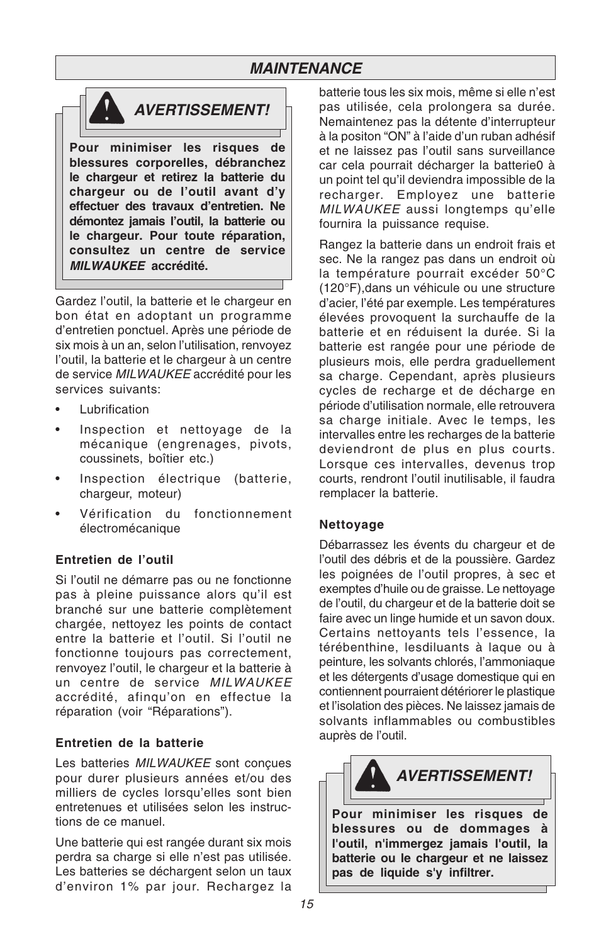### **MAINTENANCE**



**Pour minimiser les risques de blessures corporelles, débranchez le chargeur et retirez la batterie du chargeur ou de l'outil avant d'y effectuer des travaux d'entretien. Ne démontez jamais l'outil, la batterie ou le chargeur. Pour toute réparation, consultez un centre de service MILWAUKEE accrédité.**

Gardez l'outil, la batterie et le chargeur en bon état en adoptant un programme d'entretien ponctuel. Après une période de six mois à un an, selon l'utilisation, renvoyez l'outil, la batterie et le chargeur à un centre de service MILWAUKEE accrédité pour les services suivants:

- Lubrification
- Inspection et nettoyage de la mécanique (engrenages, pivots, coussinets, boîtier etc.)
- Inspection électrique (batterie, chargeur, moteur)
- Vérification du fonctionnement électromécanique

#### **Entretien de l'outil**

Si l'outil ne démarre pas ou ne fonctionne pas à pleine puissance alors qu'il est branché sur une batterie complètement chargée, nettoyez les points de contact entre la batterie et l'outil. Si l'outil ne fonctionne toujours pas correctement, renvoyez l'outil, le chargeur et la batterie à un centre de service MILWAUKEE accrédité, afinqu'on en effectue la réparation (voir "Réparations").

#### **Entretien de la batterie**

Les batteries MILWAUKEE sont conçues pour durer plusieurs années et/ou des milliers de cycles lorsqu'elles sont bien entretenues et utilisées selon les instructions de ce manuel.

Une batterie qui est rangée durant six mois perdra sa charge si elle n'est pas utilisée. Les batteries se déchargent selon un taux d'environ 1% par jour. Rechargez la

batterie tous les six mois, même si elle n'est pas utilisée, cela prolongera sa durée. Nemaintenez pas la détente d'interrupteur à la positon "ON" à l'aide d'un ruban adhésif et ne laissez pas l'outil sans surveillance car cela pourrait décharger la batterie0 à un point tel qu'il deviendra impossible de la recharger. Employez une batterie MILWAUKEE aussi longtemps qu'elle fournira la puissance requise.

Rangez la batterie dans un endroit frais et sec. Ne la rangez pas dans un endroit où la température pourrait excéder 50°C (120°F),dans un véhicule ou une structure d'acier, l'été par exemple. Les températures élevées provoquent la surchauffe de la batterie et en réduisent la durée. Si la batterie est rangée pour une période de plusieurs mois, elle perdra graduellement sa charge. Cependant, après plusieurs cycles de recharge et de décharge en période d'utilisation normale, elle retrouvera sa charge initiale. Avec le temps, les intervalles entre les recharges de la batterie deviendront de plus en plus courts. Lorsque ces intervalles, devenus trop courts, rendront l'outil inutilisable, il faudra remplacer la batterie.

#### **Nettoyage**

Débarrassez les évents du chargeur et de l'outil des débris et de la poussière. Gardez les poignées de l'outil propres, à sec et exemptes d'huile ou de graisse. Le nettoyage de l'outil, du chargeur et de la batterie doit se faire avec un linge humide et un savon doux. Certains nettoyants tels l'essence, la térébenthine, lesdiluants à laque ou à peinture, les solvants chlorés, l'ammoniaque et les détergents d'usage domestique qui en contiennent pourraient détériorer le plastique et l'isolation des pièces. Ne laissez jamais de solvants inflammables ou combustibles auprès de l'outil.



**l'outil, n'immergez jamais l'outil, la batterie ou le chargeur et ne laissez pas de liquide s'y infiltrer.**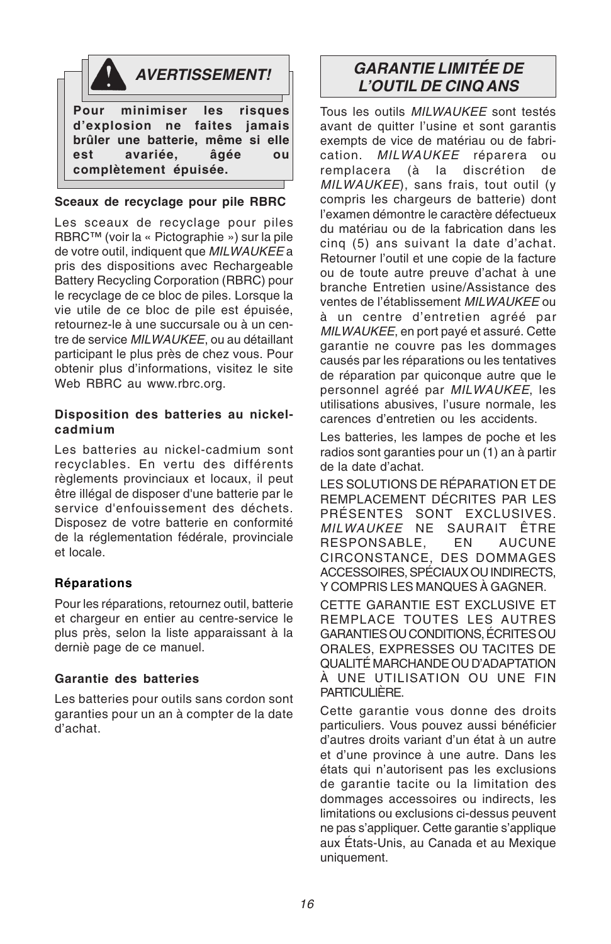

#### **Sceaux de recyclage pour pile RBRC**

Les sceaux de recyclage pour piles RBRC™ (voir la « Pictographie ») sur la pile de votre outil, indiquent que MILWAUKEE a pris des dispositions avec Rechargeable Battery Recycling Corporation (RBRC) pour le recyclage de ce bloc de piles. Lorsque la vie utile de ce bloc de pile est épuisée, retournez-le à une succursale ou à un centre de service MILWAUKEE, ou au détaillant participant le plus près de chez vous. Pour obtenir plus d'informations, visitez le site Web RBRC au www.rbrc.org.

#### **Disposition des batteries au nickelcadmium**

Les batteries au nickel-cadmium sont recyclables. En vertu des différents règlements provinciaux et locaux, il peut être illégal de disposer d'une batterie par le service d'enfouissement des déchets. Disposez de votre batterie en conformité de la réglementation fédérale, provinciale et locale.

#### **Réparations**

Pour les réparations, retournez outil, batterie et chargeur en entier au centre-service le plus près, selon la liste apparaissant à la derniè page de ce manuel.

#### **Garantie des batteries**

Les batteries pour outils sans cordon sont garanties pour un an à compter de la date d'achat.

### **AVERTISSEMENT! GARANTIE LIMITÉE DE L'OUTIL DE CINQ ANS**

Tous les outils MII WALIKEE sont testés avant de quitter l'usine et sont garantis exempts de vice de matériau ou de fabrication. *MILWAUKEE* réparera ou<br>remplacera (à la discrétion de remplacera (à la discrétion de MILWAUKEE), sans frais, tout outil (y compris les chargeurs de batterie) dont l'examen démontre le caractère défectueux du matériau ou de la fabrication dans les cinq (5) ans suivant la date d'achat. Retourner l'outil et une copie de la facture ou de toute autre preuve d'achat à une branche Entretien usine/Assistance des ventes de l'établissement MILWAUKEE ou à un centre d'entretien agréé par MILWAUKEE, en port payé et assuré. Cette garantie ne couvre pas les dommages causés par les réparations ou les tentatives de réparation par quiconque autre que le personnel agréé par MILWAUKEE, les utilisations abusives, l'usure normale, les carences d'entretien ou les accidents.

Les batteries, les lampes de poche et les radios sont garanties pour un (1) an à partir de la date d'achat.

LES SOLUTIONS DE RÉPARATION ET DE REMPLACEMENT DÉCRITES PAR LES PRÉSENTES SONT EXCLUSIVES. MILWAUKEE NE SAURAIT ÊTRE RESPONSABLE, EN AUCUNE CIRCONSTANCE, DES DOMMAGES ACCESSOIRES, SPÉCIAUX OU INDIRECTS, Y COMPRIS LES MANQUES À GAGNER.

CETTE GARANTIE EST EXCLUSIVE ET REMPLACE TOUTES LES AUTRES GARANTIES OU CONDITIONS, ÉCRITES OU ORALES, EXPRESSES OU TACITES DE QUALITÉ MARCHANDE OU D'ADAPTATION À UNE UTILISATION OU UNE FIN PARTICULIÈRE.

Cette garantie vous donne des droits particuliers. Vous pouvez aussi bénéficier d'autres droits variant d'un état à un autre et d'une province à une autre. Dans les états qui n'autorisent pas les exclusions de garantie tacite ou la limitation des dommages accessoires ou indirects, les limitations ou exclusions ci-dessus peuvent ne pas s'appliquer. Cette garantie s'applique aux États-Unis, au Canada et au Mexique uniquement.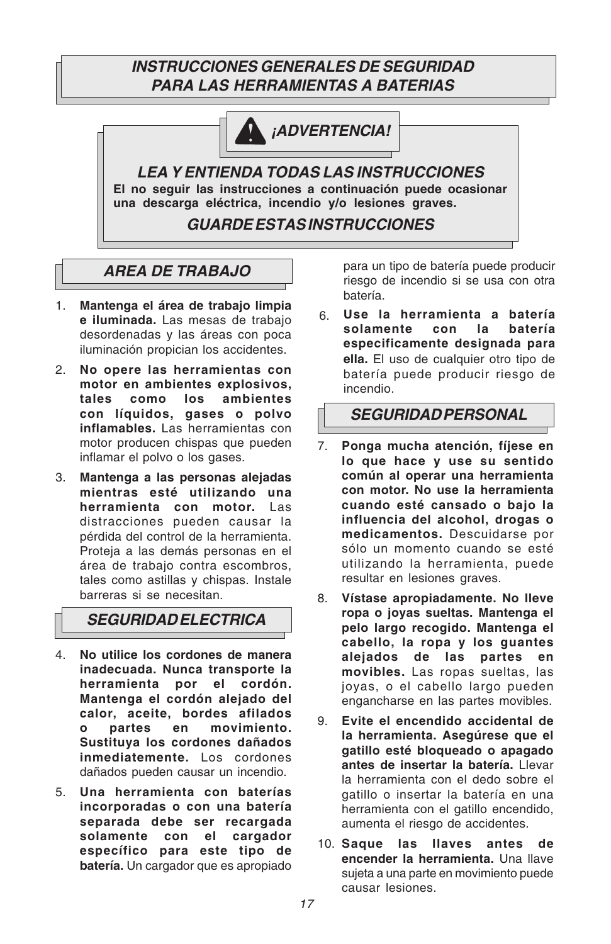### **INSTRUCCIONES GENERALES DE SEGURIDAD PARA LAS HERRAMIENTAS A BATERIAS**



**¡ADVERTENCIA!**

**LEA Y ENTIENDA TODAS LAS INSTRUCCIONES El no seguir las instrucciones a continuación puede ocasionar una descarga eléctrica, incendio y/o lesiones graves.**

**GUARDE ESTAS INSTRUCCIONES**

## **AREA DE TRABAJO**

- 1. **Mantenga el área de trabajo limpia e iluminada.** Las mesas de trabajo desordenadas y las áreas con poca iluminación propician los accidentes.
- 2. **No opere las herramientas con motor en ambientes explosivos, tales como los ambientes con líquidos, gases o polvo inflamables.** Las herramientas con motor producen chispas que pueden inflamar el polvo o los gases.
- 3. **Mantenga a las personas alejadas mientras esté utilizando una herramienta con motor.** Las distracciones pueden causar la pérdida del control de la herramienta. Proteja a las demás personas en el área de trabajo contra escombros, tales como astillas y chispas. Instale barreras si se necesitan.

**SEGURIDAD ELECTRICA**

- 4. **No utilice los cordones de manera inadecuada. Nunca transporte la herramienta por el cordón. Mantenga el cordón alejado del calor, aceite, bordes afilados o partes en movimiento. Sustituya los cordones dañados inmediatemente.** Los cordones dañados pueden causar un incendio.
- 5. **Una herramienta con baterías incorporadas o con una batería separada debe ser recargada solamente con el cargador específico para este tipo de batería.** Un cargador que es apropiado

para un tipo de batería puede producir riesgo de incendio si se usa con otra batería.

6. **Use la herramienta a batería** solamente con la **especificamente designada para ella.** El uso de cualquier otro tipo de batería puede producir riesgo de incendio.

### **SEGURIDAD PERSONAL**

- 7. **Ponga mucha atención, fíjese en lo que hace y use su sentido común al operar una herramienta con motor. No use la herramienta cuando esté cansado o bajo la influencia del alcohol, drogas o medicamentos.** Descuidarse por sólo un momento cuando se esté utilizando la herramienta, puede resultar en lesiones graves.
- 8. **Vístase apropiadamente. No lleve ropa o joyas sueltas. Mantenga el pelo largo recogido. Mantenga el cabello, la ropa y los guantes alejados de las partes en movibles.** Las ropas sueltas, las joyas, o el cabello largo pueden engancharse en las partes movibles.
- 9. **Evite el encendido accidental de la herramienta. Asegúrese que el gatillo esté bloqueado o apagado antes de insertar la batería.** Llevar la herramienta con el dedo sobre el gatillo o insertar la batería en una herramienta con el gatillo encendido, aumenta el riesgo de accidentes.
- 10. **Saque las llaves antes de encender la herramienta.** Una llave sujeta a una parte en movimiento puede causar lesiones.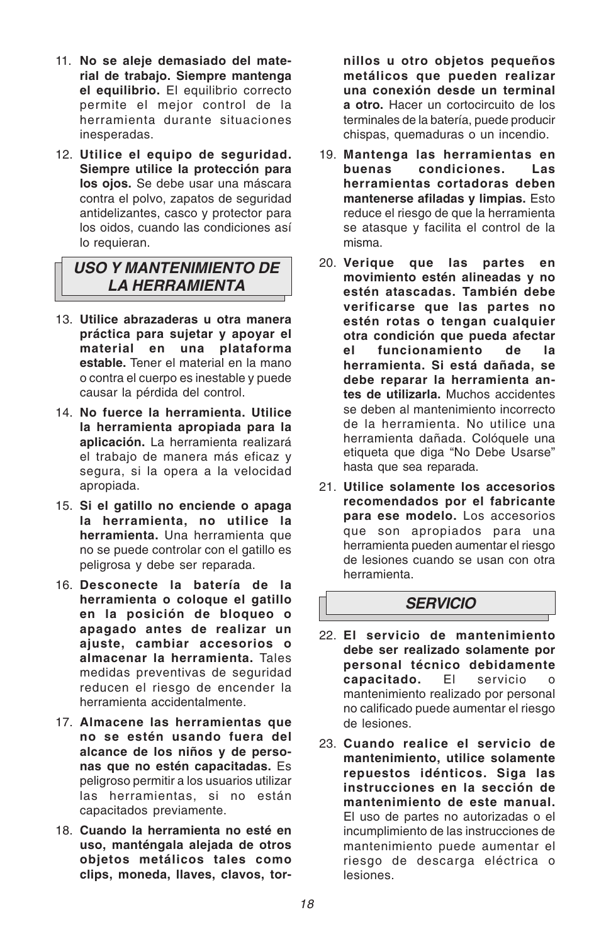- 11. **No se aleje demasiado del material de trabajo. Siempre mantenga el equilibrio.** El equilibrio correcto permite el mejor control de la herramienta durante situaciones inesperadas.
- 12. **Utilice el equipo de seguridad. Siempre utilice la protección para los ojos.** Se debe usar una máscara contra el polvo, zapatos de seguridad antidelizantes, casco y protector para los oidos, cuando las condiciones así lo requieran.

### **USO Y MANTENIMIENTO DE LA HERRAMIENTA**

- 13. **Utilice abrazaderas u otra manera práctica para sujetar y apoyar el material en una plataforma estable.** Tener el material en la mano o contra el cuerpo es inestable y puede causar la pérdida del control.
- 14. **No fuerce la herramienta. Utilice la herramienta apropiada para la aplicación.** La herramienta realizará el trabajo de manera más eficaz y segura, si la opera a la velocidad apropiada.
- 15. **Si el gatillo no enciende o apaga la herramienta, no utilice la herramienta.** Una herramienta que no se puede controlar con el gatillo es peligrosa y debe ser reparada.
- 16. **Desconecte la batería de la herramienta o coloque el gatillo en la posición de bloqueo o apagado antes de realizar un ajuste, cambiar accesorios o almacenar la herramienta.** Tales medidas preventivas de seguridad reducen el riesgo de encender la herramienta accidentalmente.
- 17. **Almacene las herramientas que no se estén usando fuera del alcance de los niños y de personas que no estén capacitadas.** Es peligroso permitir a los usuarios utilizar las herramientas, si no están capacitados previamente.
- 18. **Cuando la herramienta no esté en uso, manténgala alejada de otros objetos metálicos tales como clips, moneda, llaves, clavos, tor-**

**nillos u otro objetos pequeños metálicos que pueden realizar una conexión desde un terminal a otro.** Hacer un cortocircuito de los terminales de la batería, puede producir chispas, quemaduras o un incendio.

- 19. **Mantenga las herramientas en buenas condiciones. Las herramientas cortadoras deben mantenerse afiladas y limpias.** Esto reduce el riesgo de que la herramienta se atasque y facilita el control de la misma.
- 20. **Verique que las partes en movimiento estén alineadas y no estén atascadas. También debe verificarse que las partes no estén rotas o tengan cualquier otra condición que pueda afectar el funcionamiento de la herramienta. Si está dañada, se debe reparar la herramienta antes de utilizarla.** Muchos accidentes se deben al mantenimiento incorrecto de la herramienta. No utilice una herramienta dañada. Colóquele una etiqueta que diga "No Debe Usarse" hasta que sea reparada.
- 21. **Utilice solamente los accesorios recomendados por el fabricante para ese modelo.** Los accesorios que son apropiados para una herramienta pueden aumentar el riesgo de lesiones cuando se usan con otra herramienta.

### **SERVICIO**

- 22. **El servicio de mantenimiento debe ser realizado solamente por personal técnico debidamente capacitado.** El servicio mantenimiento realizado por personal no calificado puede aumentar el riesgo de lesiones.
- 23. **Cuando realice el servicio de mantenimiento, utilice solamente repuestos idénticos. Siga las instrucciones en la sección de mantenimiento de este manual.** El uso de partes no autorizadas o el incumplimiento de las instrucciones de mantenimiento puede aumentar el riesgo de descarga eléctrica o lesiones.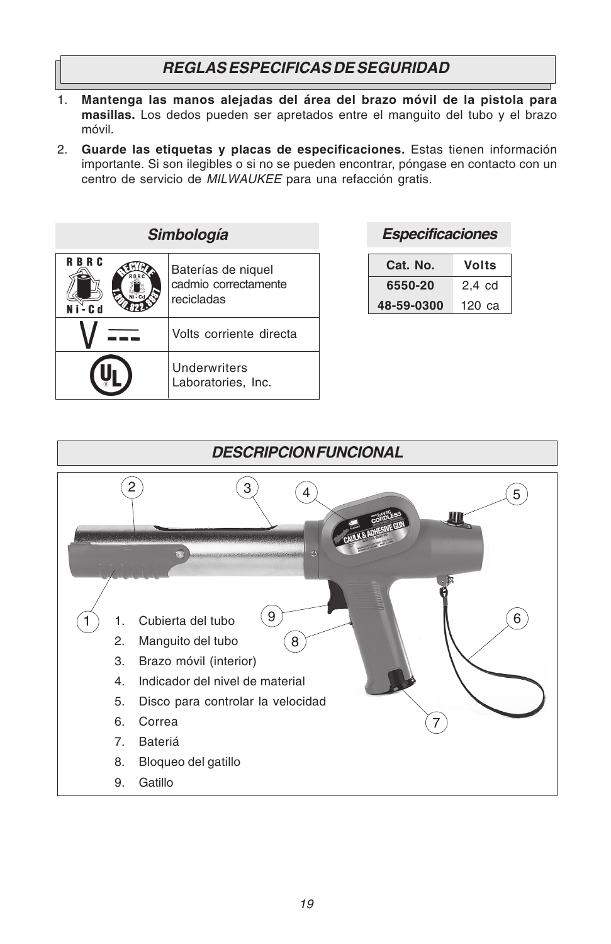### **REGLAS ESPECIFICAS DE SEGURIDAD**

- 1. **Mantenga las manos alejadas del área del brazo móvil de la pistola para masillas.** Los dedos pueden ser apretados entre el manguito del tubo y el brazo móvil.
- 2. **Guarde las etiquetas y placas de especificaciones.** Estas tienen información importante. Si son ilegibles o si no se pueden encontrar, póngase en contacto con un centro de servicio de MILWAUKEE para una refacción gratis.

| Simbología                         |                                                          |  |
|------------------------------------|----------------------------------------------------------|--|
| <b>RBRC</b><br><b>RRR</b><br>. C 4 | Baterías de niquel<br>cadmio correctamente<br>recicladas |  |
|                                    | Volts corriente directa                                  |  |
|                                    | Underwriters<br>Laboratories, Inc.                       |  |

| Cat. No.   | Volts            |
|------------|------------------|
| 6550-20    | $2.4 \text{ cd}$ |
| 48-59-0300 | 120 са           |

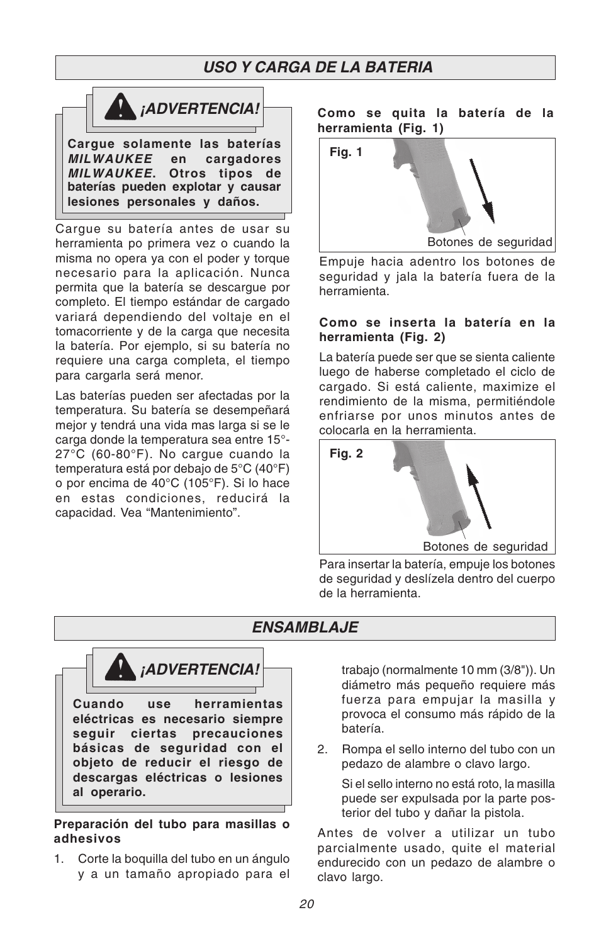### **USO Y CARGA DE LA BATERIA**



**Cargue solamente las baterías MILWAUKEE en cargadores MILWAUKEE. Otros tipos de baterías pueden explotar y causar lesiones personales y daños.**

Cargue su batería antes de usar su herramienta po primera vez o cuando la misma no opera ya con el poder y torque necesario para la aplicación. Nunca permita que la batería se descargue por completo. El tiempo estándar de cargado variará dependiendo del voltaje en el tomacorriente y de la carga que necesita la batería. Por ejemplo, si su batería no requiere una carga completa, el tiempo para cargarla será menor.

Las baterías pueden ser afectadas por la temperatura. Su batería se desempeñará mejor y tendrá una vida mas larga si se le carga donde la temperatura sea entre 15°- 27°C (60-80°F). No cargue cuando la temperatura está por debajo de 5°C (40°F) o por encima de 40°C (105°F). Si lo hace en estas condiciones, reducirá la capacidad. Vea "Mantenimiento".

#### **Como se quita la batería de la herramienta (Fig. 1)**



Empuje hacia adentro los botones de seguridad y jala la batería fuera de la herramienta.

#### **Como se inserta la batería en la herramienta (Fig. 2)**

La batería puede ser que se sienta caliente luego de haberse completado el ciclo de cargado. Si está caliente, maximize el rendimiento de la misma, permitiéndole enfriarse por unos minutos antes de colocarla en la herramienta.



Para insertar la batería, empuje los botones de seguridad y deslízela dentro del cuerpo de la herramienta.

### **Cuando use herramientas eléctricas es necesario siempre seguir ciertas precauciones básicas de seguridad con el objeto de reducir el riesgo de descargas eléctricas o lesiones ¡ADVERTENCIA! ENSAMBLAJE**

#### **Preparación del tubo para masillas o adhesivos**

**al operario.**

1. Corte la boquilla del tubo en un ángulo y a un tamaño apropiado para el trabajo (normalmente 10 mm (3/8")). Un diámetro más pequeño requiere más fuerza para empujar la masilla y provoca el consumo más rápido de la batería.

2. Rompa el sello interno del tubo con un pedazo de alambre o clavo largo.

Si el sello interno no está roto, la masilla puede ser expulsada por la parte posterior del tubo y dañar la pistola.

Antes de volver a utilizar un tubo parcialmente usado, quite el material endurecido con un pedazo de alambre o clavo largo.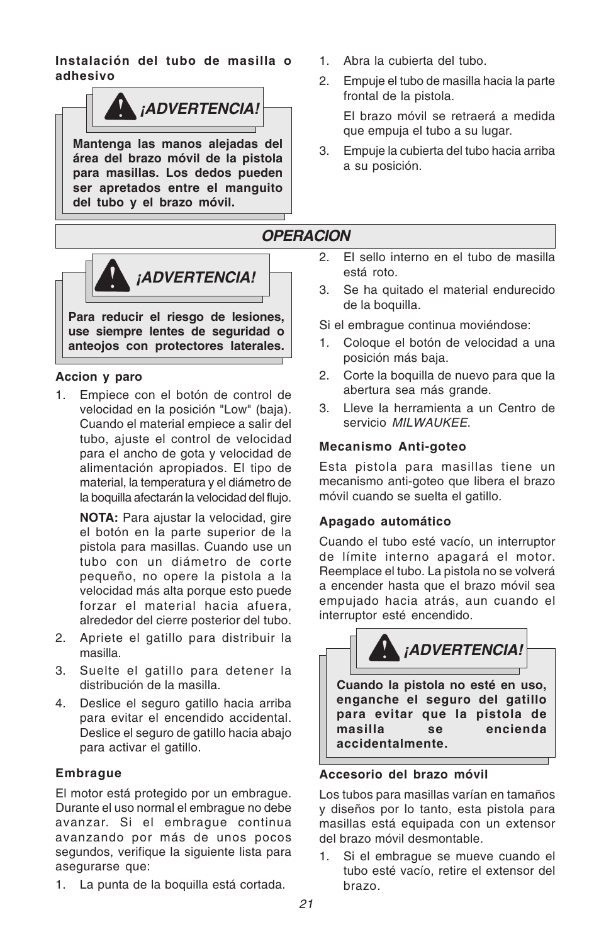**Instalación del tubo de masilla o adhesivo**



**Mantenga las manos alejadas del área del brazo móvil de la pistola para masillas. Los dedos pueden ser apretados entre el manguito del tubo y el brazo móvil.**



**anteojos con protectores laterales.**

#### **Accion y paro**

1. Empiece con el botón de control de velocidad en la posición "Low" (baja). Cuando el material empiece a salir del tubo, ajuste el control de velocidad para el ancho de gota y velocidad de alimentación apropiados. El tipo de material, la temperatura y el diámetro de la boquilla afectarán la velocidad del flujo.

**NOTA:** Para ajustar la velocidad, gire el botón en la parte superior de la pistola para masillas. Cuando use un tubo con un diámetro de corte pequeño, no opere la pistola a la velocidad más alta porque esto puede forzar el material hacia afuera, alrededor del cierre posterior del tubo.

- 2. Apriete el gatillo para distribuir la masilla.
- 3. Suelte el gatillo para detener la distribución de la masilla.
- 4. Deslice el seguro gatillo hacia arriba para evitar el encendido accidental. Deslice el seguro de gatillo hacia abajo para activar el gatillo.

#### **Embrague**

El motor está protegido por un embrague. Durante el uso normal el embrague no debe avanzar. Si el embrague continua avanzando por más de unos pocos segundos, verifique la siguiente lista para asegurarse que:

1. La punta de la boquilla está cortada.

- 1. Abra la cubierta del tubo.
- 2. Empuje el tubo de masilla hacia la parte frontal de la pistola.

El brazo móvil se retraerá a medida que empuja el tubo a su lugar.

3. Empuje la cubierta del tubo hacia arriba a su posición.

### **OPERACION**

- 2. El sello interno en el tubo de masilla está roto.
- 3. Se ha quitado el material endurecido de la boquilla.

Si el embrague continua moviéndose:

- 1. Coloque el botón de velocidad a una posición más baja.
- 2. Corte la boquilla de nuevo para que la abertura sea más grande.
- 3. Lleve la herramienta a un Centro de servicio MII WALIKEE

#### **Mecanismo Anti-goteo**

Esta pistola para masillas tiene un mecanismo anti-goteo que libera el brazo móvil cuando se suelta el gatillo.

#### **Apagado automático**

Cuando el tubo esté vacío, un interruptor de límite interno apagará el motor. Reemplace el tubo. La pistola no se volverá a encender hasta que el brazo móvil sea empujado hacia atrás, aun cuando el interruptor esté encendido.



#### **Accesorio del brazo móvil**

Los tubos para masillas varían en tamaños y diseños por lo tanto, esta pistola para masillas está equipada con un extensor del brazo móvil desmontable.

1. Si el embrague se mueve cuando el tubo esté vacío, retire el extensor del brazo.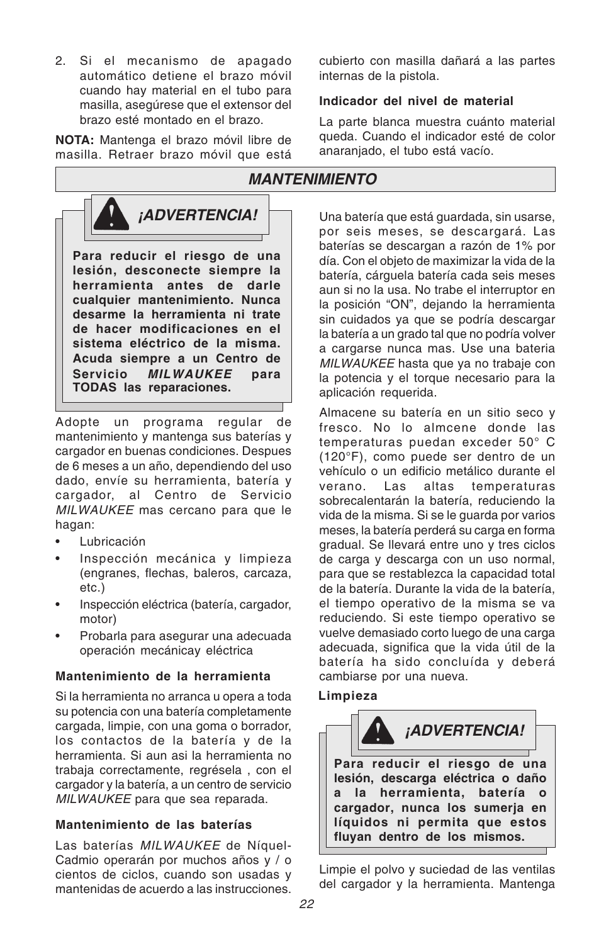2. Si el mecanismo de apagado automático detiene el brazo móvil cuando hay material en el tubo para masilla, asegúrese que el extensor del brazo esté montado en el brazo.

**NOTA:** Mantenga el brazo móvil libre de masilla. Retraer brazo móvil que está



Adopte un programa regular de mantenimiento y mantenga sus baterías y cargador en buenas condiciones. Despues de 6 meses a un año, dependiendo del uso dado, envíe su herramienta, batería y cargador, al Centro de Servicio MILWAUKEE mas cercano para que le hagan:

- **Lubricación**
- Inspección mecánica y limpieza (engranes, flechas, baleros, carcaza, etc.)
- Inspección eléctrica (batería, cargador, motor)
- Probarla para asegurar una adecuada operación mecánicay eléctrica

#### **Mantenimiento de la herramienta**

Si la herramienta no arranca u opera a toda su potencia con una batería completamente cargada, limpie, con una goma o borrador, los contactos de la batería y de la herramienta. Si aun asi la herramienta no trabaja correctamente, regrésela , con el cargador y la batería, a un centro de servicio MILWAUKEE para que sea reparada.

#### **Mantenimiento de las baterías**

Las baterías MILWAUKEE de Níquel-Cadmio operarán por muchos años y / o cientos de ciclos, cuando son usadas y mantenidas de acuerdo a las instrucciones. cubierto con masilla dañará a las partes internas de la pistola.

#### **Indicador del nivel de material**

La parte blanca muestra cuánto material queda. Cuando el indicador esté de color anaranjado, el tubo está vacío.

### **MANTENIMIENTO**

*iADVERTENCIA!* Una batería que está guardada, sin usarse, por seis meses, se descargará. Las baterías se descargan a razón de 1% por día. Con el objeto de maximizar la vida de la batería, cárguela batería cada seis meses aun si no la usa. No trabe el interruptor en la posición "ON", dejando la herramienta sin cuidados ya que se podría descargar la batería a un grado tal que no podría volver a cargarse nunca mas. Use una bateria MILWAUKEE hasta que va no trabaje con la potencia y el torque necesario para la aplicación requerida.

> Almacene su batería en un sitio seco y fresco. No lo almcene donde las temperaturas puedan exceder 50° C (120°F), como puede ser dentro de un vehículo o un edificio metálico durante el verano. Las altas temperaturas sobrecalentarán la batería, reduciendo la vida de la misma. Si se le guarda por varios meses, la batería perderá su carga en forma gradual. Se llevará entre uno y tres ciclos de carga y descarga con un uso normal, para que se restablezca la capacidad total de la batería. Durante la vida de la batería, el tiempo operativo de la misma se va reduciendo. Si este tiempo operativo se vuelve demasiado corto luego de una carga adecuada, significa que la vida útil de la batería ha sido concluída y deberá cambiarse por una nueva.

#### **Limpieza**



Limpie el polvo y suciedad de las ventilas del cargador y la herramienta. Mantenga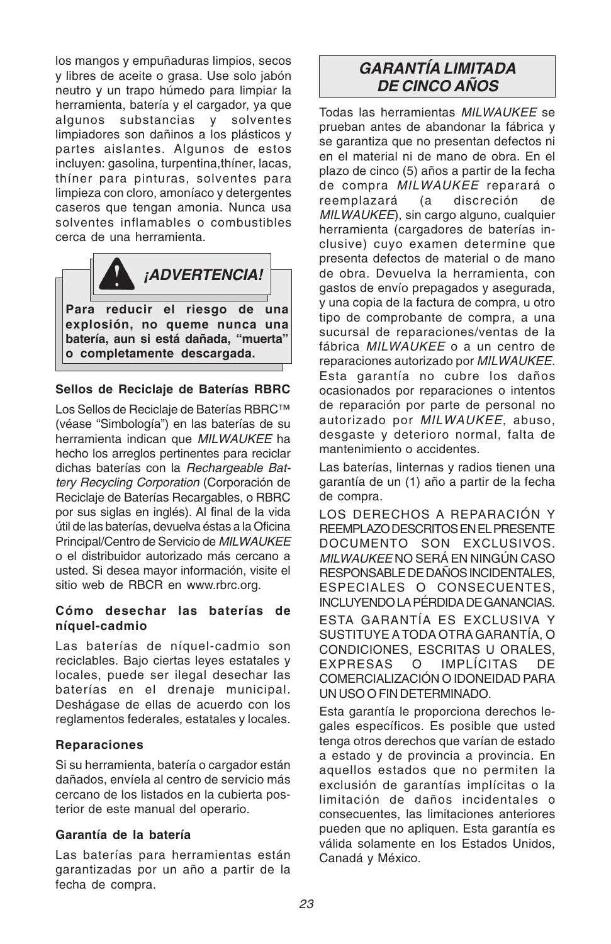los mangos y empuñaduras limpios, secos y libres de aceite o grasa. Use solo jabón neutro y un trapo húmedo para limpiar la herramienta, batería y el cargador, ya que algunos substancias y solventes limpiadores son dañinos a los plásticos y partes aislantes. Algunos de estos incluyen: gasolina, turpentina,thíner, lacas, thíner para pinturas, solventes para limpieza con cloro, amoníaco y detergentes caseros que tengan amonia. Nunca usa solventes inflamables o combustibles cerca de una herramienta.



#### **Sellos de Reciclaje de Baterías RBRC**

Los Sellos de Reciclaje de Baterías RBRC™ (véase "Simbología") en las baterías de su herramienta indican que MILWAUKEE ha hecho los arreglos pertinentes para reciclar dichas baterías con la Rechargeable Battery Recycling Corporation (Corporación de Reciclaje de Baterías Recargables, o RBRC por sus siglas en inglés). Al final de la vida útil de las baterías, devuelva éstas a la Oficina Principal/Centro de Servicio de MILWAUKEE o el distribuidor autorizado más cercano a usted. Si desea mayor información, visite el sitio web de RBCR en www.rbrc.org.

#### **Cómo desechar las baterías de níquel-cadmio**

Las baterías de níquel-cadmio son reciclables. Bajo ciertas leyes estatales y locales, puede ser ilegal desechar las baterías en el drenaje municipal. Deshágase de ellas de acuerdo con los reglamentos federales, estatales y locales.

#### **Reparaciones**

Si su herramienta, batería o cargador están dañados, envíela al centro de servicio más cercano de los listados en la cubierta posterior de este manual del operario.

#### **Garantía de la batería**

Las baterías para herramientas están garantizadas por un año a partir de la fecha de compra.

### **GARANTÍA LIMITADA DE CINCO AÑOS**

Todas las herramientas MILWAUKEE se prueban antes de abandonar la fábrica y se garantiza que no presentan defectos ni en el material ni de mano de obra. En el plazo de cinco (5) años a partir de la fecha de compra MILWAUKEE reparará o reemplazará (a discreción de MILWAUKEE), sin cargo alguno, cualquier herramienta (cargadores de baterías inclusive) cuyo examen determine que presenta defectos de material o de mano de obra. Devuelva la herramienta, con gastos de envío prepagados y asegurada, y una copia de la factura de compra, u otro tipo de comprobante de compra, a una sucursal de reparaciones/ventas de la fábrica MILWAUKEE o a un centro de reparaciones autorizado por MILWAUKEE. Esta garantía no cubre los daños ocasionados por reparaciones o intentos de reparación por parte de personal no autorizado por MILWAUKEE, abuso, desgaste y deterioro normal, falta de mantenimiento o accidentes.

Las baterías, linternas y radios tienen una garantía de un (1) año a partir de la fecha de compra.

LOS DERECHOS A REPARACIÓN Y REEMPLAZO DESCRITOS EN EL PRESENTE DOCUMENTO SON EXCLUSIVOS. MILWAUKEE NO SERÁ EN NINGÚN CASO RESPONSABLE DE DAÑOS INCIDENTALES, ESPECIALES O CONSECUENTES, INCLUYENDO LA PÉRDIDA DE GANANCIAS.

ESTA GARANTÍA ES EXCLUSIVA Y SUSTITUYE A TODA OTRA GARANTÍA, O CONDICIONES, ESCRITAS U ORAI FS. EXPRESAS O IMPLÍCITAS DE COMERCIALIZACIÓN O IDONEIDAD PARA UN USO O FIN DETERMINADO.

Esta garantía le proporciona derechos legales específicos. Es posible que usted tenga otros derechos que varían de estado a estado y de provincia a provincia. En aquellos estados que no permiten la exclusión de garantías implícitas o la limitación de daños incidentales o consecuentes, las limitaciones anteriores pueden que no apliquen. Esta garantía es válida solamente en los Estados Unidos, Canadá y México.